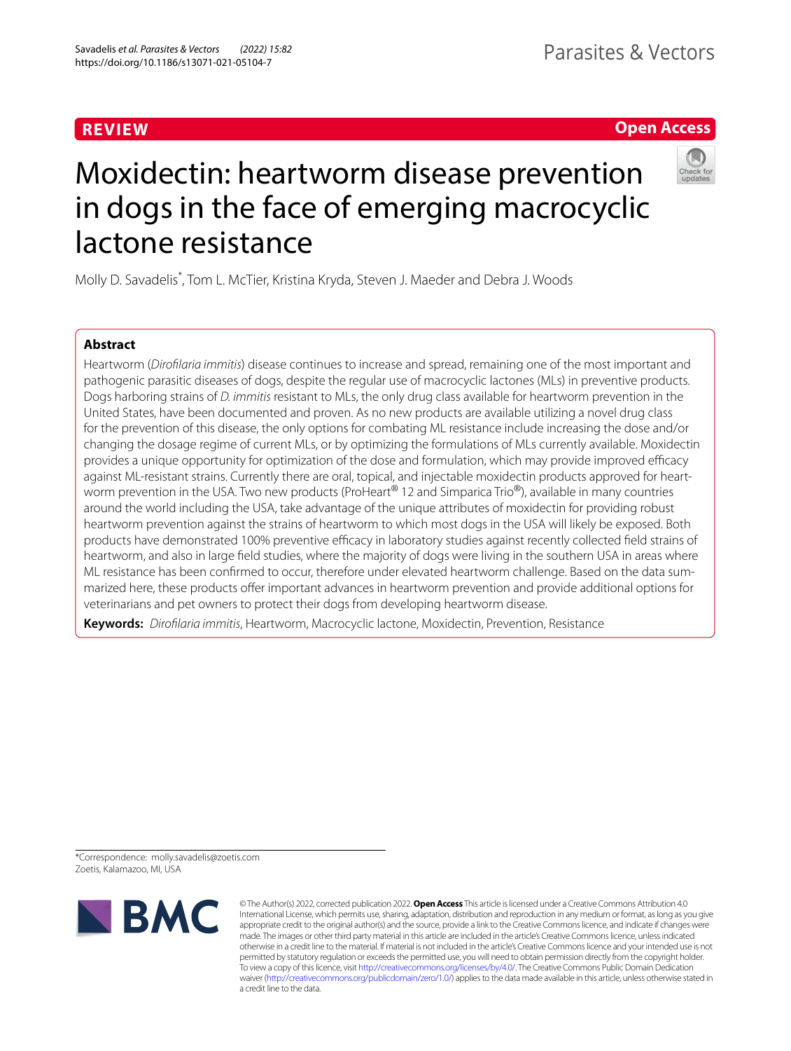# **REVIEW**

# **Open Access**



# Moxidectin: heartworm disease prevention in dogs in the face of emerging macrocyclic lactone resistance

Molly D. Savadelis\* , Tom L. McTier, Kristina Kryda, Steven J. Maeder and Debra J. Woods

## **Abstract**

Heartworm (*Diroflaria immitis*) disease continues to increase and spread, remaining one of the most important and pathogenic parasitic diseases of dogs, despite the regular use of macrocyclic lactones (MLs) in preventive products. Dogs harboring strains of *D. immitis* resistant to MLs, the only drug class available for heartworm prevention in the United States, have been documented and proven. As no new products are available utilizing a novel drug class for the prevention of this disease, the only options for combating ML resistance include increasing the dose and/or changing the dosage regime of current MLs, or by optimizing the formulations of MLs currently available. Moxidectin provides a unique opportunity for optimization of the dose and formulation, which may provide improved efficacy against ML-resistant strains. Currently there are oral, topical, and injectable moxidectin products approved for heartworm prevention in the USA. Two new products (ProHeart<sup>®</sup> 12 and Simparica Trio<sup>®</sup>), available in many countries around the world including the USA, take advantage of the unique attributes of moxidectin for providing robust heartworm prevention against the strains of heartworm to which most dogs in the USA will likely be exposed. Both products have demonstrated 100% preventive efficacy in laboratory studies against recently collected field strains of heartworm, and also in large feld studies, where the majority of dogs were living in the southern USA in areas where ML resistance has been confrmed to occur, therefore under elevated heartworm challenge. Based on the data summarized here, these products ofer important advances in heartworm prevention and provide additional options for veterinarians and pet owners to protect their dogs from developing heartworm disease.

**Keywords:** *Diroflaria immitis*, Heartworm, Macrocyclic lactone, Moxidectin, Prevention, Resistance

\*Correspondence: molly.savadelis@zoetis.com Zoetis, Kalamazoo, MI, USA



© The Author(s) 2022, corrected publication 2022. **Open Access** This article is licensed under a Creative Commons Attribution 4.0 International License, which permits use, sharing, adaptation, distribution and reproduction in any medium or format, as long as you give appropriate credit to the original author(s) and the source, provide a link to the Creative Commons licence, and indicate if changes were made. The images or other third party material in this article are included in the article's Creative Commons licence, unless indicated otherwise in a credit line to the material. If material is not included in the article's Creative Commons licence and your intended use is not permitted by statutory regulation or exceeds the permitted use, you will need to obtain permission directly from the copyright holder. To view a copy of this licence, visit<http://creativecommons.org/licenses/by/4.0/>. The Creative Commons Public Domain Dedication waiver (<http://creativecommons.org/publicdomain/zero/1.0/>) applies to the data made available in this article, unless otherwise stated in a credit line to the data.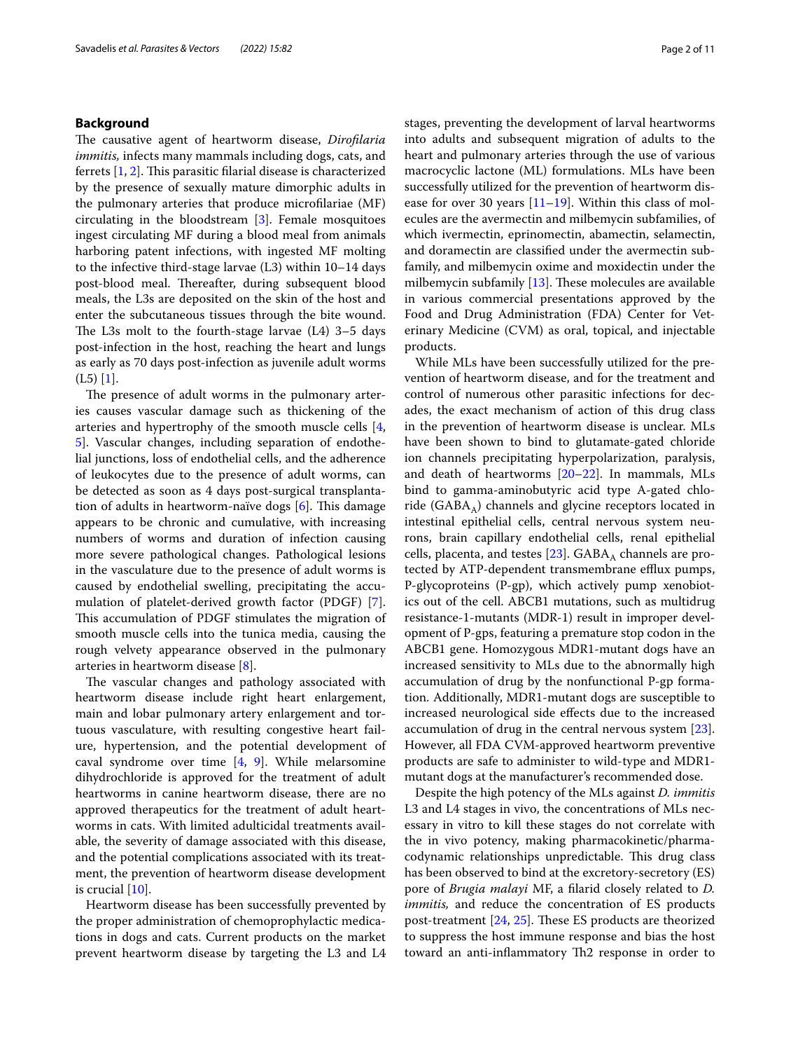## **Background**

The causative agent of heartworm disease, *Dirofilaria immitis,* infects many mammals including dogs, cats, and ferrets  $[1, 2]$  $[1, 2]$  $[1, 2]$  $[1, 2]$ . This parasitic filarial disease is characterized by the presence of sexually mature dimorphic adults in the pulmonary arteries that produce microflariae (MF) circulating in the bloodstream [[3\]](#page-8-2). Female mosquitoes ingest circulating MF during a blood meal from animals harboring patent infections, with ingested MF molting to the infective third-stage larvae (L3) within 10–14 days post-blood meal. Thereafter, during subsequent blood meals, the L3s are deposited on the skin of the host and enter the subcutaneous tissues through the bite wound. The L3s molt to the fourth-stage larvae  $(L4)$  3–5 days post-infection in the host, reaching the heart and lungs as early as 70 days post-infection as juvenile adult worms  $(L5)$  [\[1\]](#page-8-0).

The presence of adult worms in the pulmonary arteries causes vascular damage such as thickening of the arteries and hypertrophy of the smooth muscle cells [\[4](#page-8-3), [5\]](#page-8-4). Vascular changes, including separation of endothelial junctions, loss of endothelial cells, and the adherence of leukocytes due to the presence of adult worms, can be detected as soon as 4 days post-surgical transplantation of adults in heartworm-naïve dogs  $[6]$  $[6]$ . This damage appears to be chronic and cumulative, with increasing numbers of worms and duration of infection causing more severe pathological changes. Pathological lesions in the vasculature due to the presence of adult worms is caused by endothelial swelling, precipitating the accumulation of platelet-derived growth factor (PDGF) [\[7](#page-8-6)]. This accumulation of PDGF stimulates the migration of smooth muscle cells into the tunica media, causing the rough velvety appearance observed in the pulmonary arteries in heartworm disease [[8\]](#page-8-7).

The vascular changes and pathology associated with heartworm disease include right heart enlargement, main and lobar pulmonary artery enlargement and tortuous vasculature, with resulting congestive heart failure, hypertension, and the potential development of caval syndrome over time [[4,](#page-8-3) [9](#page-8-8)]. While melarsomine dihydrochloride is approved for the treatment of adult heartworms in canine heartworm disease, there are no approved therapeutics for the treatment of adult heartworms in cats. With limited adulticidal treatments available, the severity of damage associated with this disease, and the potential complications associated with its treatment, the prevention of heartworm disease development is crucial [[10\]](#page-8-9).

Heartworm disease has been successfully prevented by the proper administration of chemoprophylactic medications in dogs and cats. Current products on the market prevent heartworm disease by targeting the L3 and L4 stages, preventing the development of larval heartworms into adults and subsequent migration of adults to the heart and pulmonary arteries through the use of various macrocyclic lactone (ML) formulations. MLs have been successfully utilized for the prevention of heartworm disease for over 30 years [\[11](#page-8-10)[–19\]](#page-8-11). Within this class of molecules are the avermectin and milbemycin subfamilies, of which ivermectin, eprinomectin, abamectin, selamectin, and doramectin are classifed under the avermectin subfamily, and milbemycin oxime and moxidectin under the milbemycin subfamily  $[13]$  $[13]$ . These molecules are available in various commercial presentations approved by the Food and Drug Administration (FDA) Center for Veterinary Medicine (CVM) as oral, topical, and injectable products.

While MLs have been successfully utilized for the prevention of heartworm disease, and for the treatment and control of numerous other parasitic infections for decades, the exact mechanism of action of this drug class in the prevention of heartworm disease is unclear. MLs have been shown to bind to glutamate-gated chloride ion channels precipitating hyperpolarization, paralysis, and death of heartworms [\[20–](#page-8-13)[22\]](#page-9-0). In mammals, MLs bind to gamma-aminobutyric acid type A-gated chloride ( $GABA_A$ ) channels and glycine receptors located in intestinal epithelial cells, central nervous system neurons, brain capillary endothelial cells, renal epithelial cells, placenta, and testes [\[23\]](#page-9-1).  $GABA_A$  channels are protected by ATP-dependent transmembrane efflux pumps, P-glycoproteins (P-gp), which actively pump xenobiotics out of the cell. ABCB1 mutations, such as multidrug resistance-1-mutants (MDR-1) result in improper development of P-gps, featuring a premature stop codon in the ABCB1 gene. Homozygous MDR1-mutant dogs have an increased sensitivity to MLs due to the abnormally high accumulation of drug by the nonfunctional P-gp formation. Additionally, MDR1-mutant dogs are susceptible to increased neurological side efects due to the increased accumulation of drug in the central nervous system [\[23](#page-9-1)]. However, all FDA CVM-approved heartworm preventive products are safe to administer to wild-type and MDR1 mutant dogs at the manufacturer's recommended dose.

Despite the high potency of the MLs against *D. immitis* L3 and L4 stages in vivo, the concentrations of MLs necessary in vitro to kill these stages do not correlate with the in vivo potency, making pharmacokinetic/pharmacodynamic relationships unpredictable. This drug class has been observed to bind at the excretory-secretory (ES) pore of *Brugia malayi* MF, a flarid closely related to *D. immitis,* and reduce the concentration of ES products post-treatment  $[24, 25]$  $[24, 25]$  $[24, 25]$ . These ES products are theorized to suppress the host immune response and bias the host toward an anti-inflammatory Th2 response in order to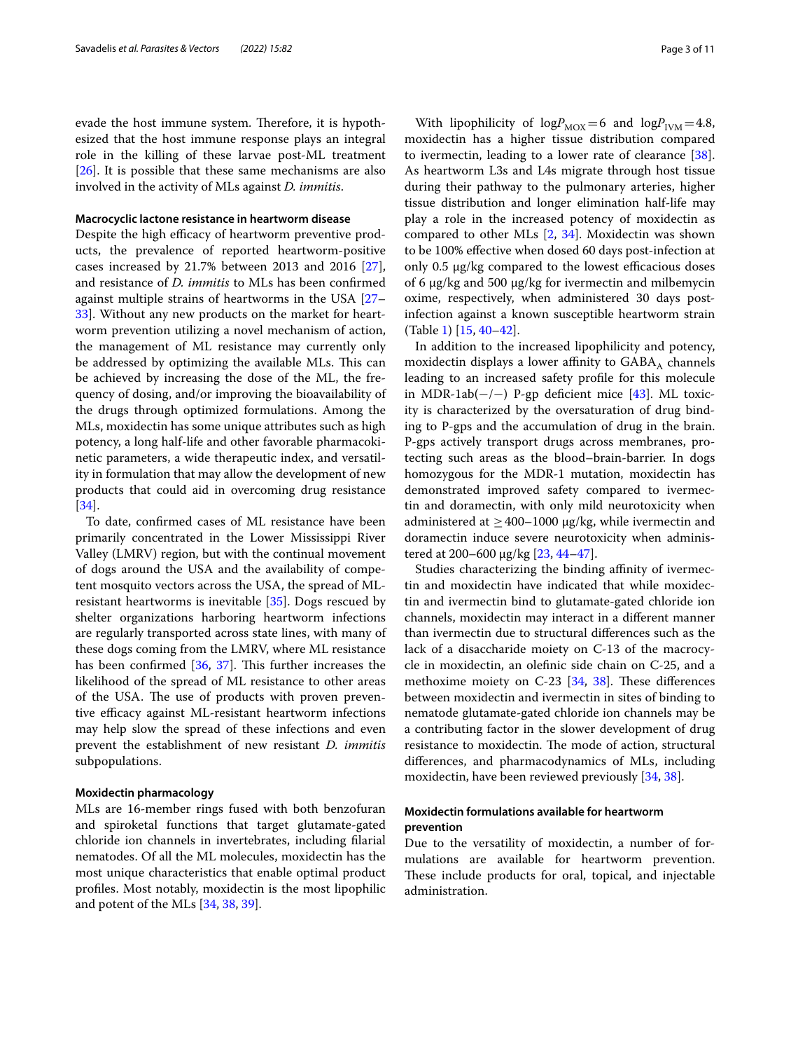evade the host immune system. Therefore, it is hypothesized that the host immune response plays an integral role in the killing of these larvae post-ML treatment [[26\]](#page-9-4). It is possible that these same mechanisms are also involved in the activity of MLs against *D. immitis*.

#### **Macrocyclic lactone resistance in heartworm disease**

Despite the high efficacy of heartworm preventive products, the prevalence of reported heartworm-positive cases increased by 21.7% between 2013 and 2016 [\[27](#page-9-5)], and resistance of *D. immitis* to MLs has been confrmed against multiple strains of heartworms in the USA [[27–](#page-9-5) [33\]](#page-9-6). Without any new products on the market for heartworm prevention utilizing a novel mechanism of action, the management of ML resistance may currently only be addressed by optimizing the available MLs. This can be achieved by increasing the dose of the ML, the frequency of dosing, and/or improving the bioavailability of the drugs through optimized formulations. Among the MLs, moxidectin has some unique attributes such as high potency, a long half-life and other favorable pharmacokinetic parameters, a wide therapeutic index, and versatility in formulation that may allow the development of new products that could aid in overcoming drug resistance [[34\]](#page-9-7).

To date, confrmed cases of ML resistance have been primarily concentrated in the Lower Mississippi River Valley (LMRV) region, but with the continual movement of dogs around the USA and the availability of competent mosquito vectors across the USA, the spread of MLresistant heartworms is inevitable [\[35](#page-9-8)]. Dogs rescued by shelter organizations harboring heartworm infections are regularly transported across state lines, with many of these dogs coming from the LMRV, where ML resistance has been confirmed  $[36, 37]$  $[36, 37]$  $[36, 37]$ . This further increases the likelihood of the spread of ML resistance to other areas of the USA. The use of products with proven preventive efficacy against ML-resistant heartworm infections may help slow the spread of these infections and even prevent the establishment of new resistant *D. immitis* subpopulations.

#### **Moxidectin pharmacology**

MLs are 16-member rings fused with both benzofuran and spiroketal functions that target glutamate-gated chloride ion channels in invertebrates, including flarial nematodes. Of all the ML molecules, moxidectin has the most unique characteristics that enable optimal product profles. Most notably, moxidectin is the most lipophilic and potent of the MLs [\[34,](#page-9-7) [38](#page-9-11), [39\]](#page-9-12).

With lipophilicity of  $logP<sub>MOX</sub>=6$  and  $logP<sub>IVM</sub>=4.8$ , moxidectin has a higher tissue distribution compared to ivermectin, leading to a lower rate of clearance [\[38](#page-9-11)]. As heartworm L3s and L4s migrate through host tissue during their pathway to the pulmonary arteries, higher tissue distribution and longer elimination half-life may play a role in the increased potency of moxidectin as compared to other MLs  $[2, 34]$  $[2, 34]$  $[2, 34]$ . Moxidectin was shown to be 100% efective when dosed 60 days post-infection at only  $0.5 \mu$ g/kg compared to the lowest efficacious doses of 6 µg/kg and 500 µg/kg for ivermectin and milbemycin oxime, respectively, when administered 30 days postinfection against a known susceptible heartworm strain (Table [1\)](#page-3-0) [\[15](#page-8-14), [40](#page-9-13)[–42](#page-9-14)].

In addition to the increased lipophilicity and potency, moxidectin displays a lower affinity to  $GABA_A$  channels leading to an increased safety profle for this molecule in MDR-1ab(−/−) P-gp deficient mice [[43\]](#page-9-15). ML toxicity is characterized by the oversaturation of drug binding to P-gps and the accumulation of drug in the brain. P-gps actively transport drugs across membranes, protecting such areas as the blood–brain-barrier. In dogs homozygous for the MDR-1 mutation, moxidectin has demonstrated improved safety compared to ivermectin and doramectin, with only mild neurotoxicity when administered at  $\geq$  400–1000 µg/kg, while ivermectin and doramectin induce severe neurotoxicity when administered at 200–600 µg/kg [[23](#page-9-1), [44–](#page-9-16)[47\]](#page-9-17).

Studies characterizing the binding affinity of ivermectin and moxidectin have indicated that while moxidectin and ivermectin bind to glutamate-gated chloride ion channels, moxidectin may interact in a diferent manner than ivermectin due to structural diferences such as the lack of a disaccharide moiety on C-13 of the macrocycle in moxidectin, an olefnic side chain on C-25, and a methoxime moiety on  $C-23$  [\[34](#page-9-7), [38\]](#page-9-11). These differences between moxidectin and ivermectin in sites of binding to nematode glutamate-gated chloride ion channels may be a contributing factor in the slower development of drug resistance to moxidectin. The mode of action, structural diferences, and pharmacodynamics of MLs, including moxidectin, have been reviewed previously [[34,](#page-9-7) [38](#page-9-11)].

## **Moxidectin formulations available for heartworm prevention**

Due to the versatility of moxidectin, a number of formulations are available for heartworm prevention. These include products for oral, topical, and injectable administration.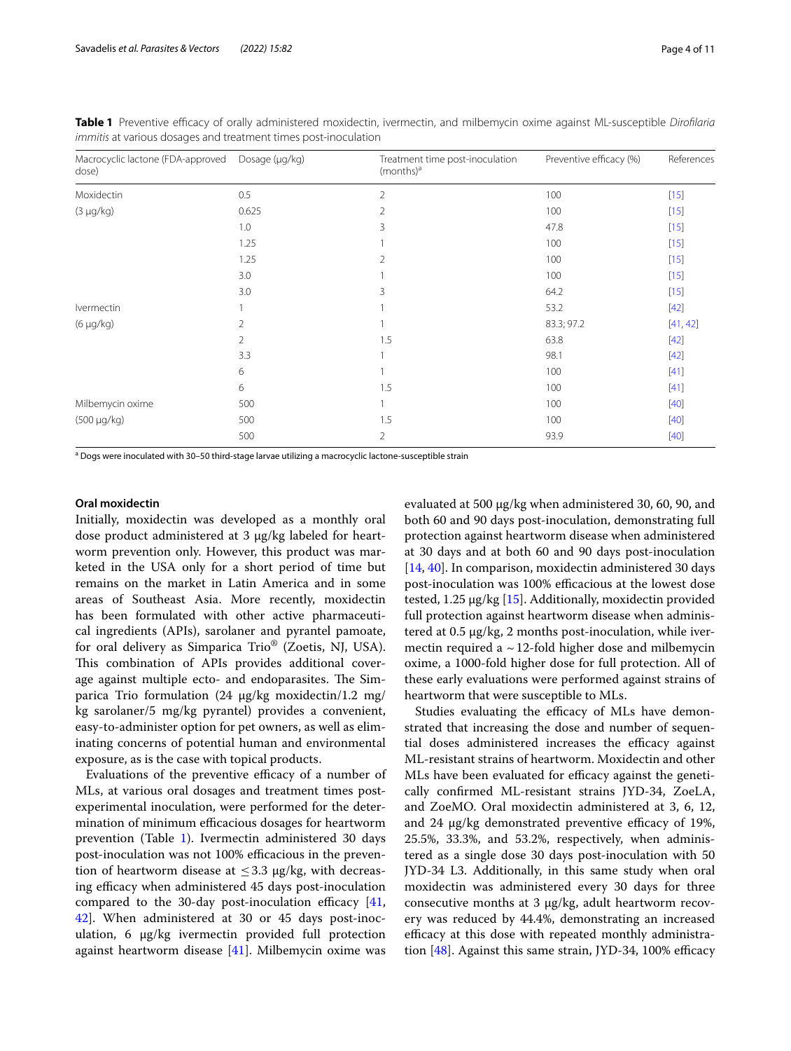| Macrocyclic lactone (FDA-approved<br>dose) | Dosage (µg/kg) | Treatment time post-inoculation<br>$(months)^a$ | Preventive efficacy (%) | References |
|--------------------------------------------|----------------|-------------------------------------------------|-------------------------|------------|
| Moxidectin                                 | 0.5            | 2                                               | 100                     | $[15]$     |
| $(3 \mu g/kg)$                             | 0.625          | $\overline{2}$                                  | 100                     | $[15]$     |
|                                            | 1.0            | 3                                               | 47.8                    | $[15]$     |
|                                            | 1.25           |                                                 | 100                     | $[15]$     |
|                                            | 1.25           | $\overline{2}$                                  | 100                     | $[15]$     |
|                                            | 3.0            |                                                 | 100                     | $[15]$     |
|                                            | 3.0            | 3                                               | 64.2                    | $[15]$     |
| Ivermectin                                 |                |                                                 | 53.2                    | $[42]$     |
| (6 μg/kg)                                  | 2              |                                                 | 83.3; 97.2              | [41, 42]   |
|                                            | 2              | 1.5                                             | 63.8                    | $[42]$     |
|                                            | 3.3            |                                                 | 98.1                    | $[42]$     |
|                                            | 6              |                                                 | 100                     | $[41]$     |
|                                            | 6              | 1.5                                             | 100                     | $[41]$     |
| Milbemycin oxime                           | 500            |                                                 | 100                     | $[40]$     |
| (500 µg/kg)                                | 500            | 1.5                                             | 100                     | $[40]$     |
|                                            | 500            | $\overline{2}$                                  | 93.9                    | $[40]$     |

<span id="page-3-0"></span>**Table 1** Preventive efficacy of orally administered moxidectin, ivermectin, and milbemycin oxime against ML-susceptible *Dirofilaria immitis* at various dosages and treatment times post-inoculation

a Dogs were inoculated with 30–50 third-stage larvae utilizing a macrocyclic lactone-susceptible strain

## **Oral moxidectin**

Initially, moxidectin was developed as a monthly oral dose product administered at 3 µg/kg labeled for heartworm prevention only. However, this product was marketed in the USA only for a short period of time but remains on the market in Latin America and in some areas of Southeast Asia. More recently, moxidectin has been formulated with other active pharmaceutical ingredients (APIs), sarolaner and pyrantel pamoate, for oral delivery as Simparica Trio® (Zoetis, NJ, USA). This combination of APIs provides additional coverage against multiple ecto- and endoparasites. The Simparica Trio formulation (24 µg/kg moxidectin/1.2 mg/ kg sarolaner/5 mg/kg pyrantel) provides a convenient, easy-to-administer option for pet owners, as well as eliminating concerns of potential human and environmental exposure, as is the case with topical products.

Evaluations of the preventive efficacy of a number of MLs, at various oral dosages and treatment times postexperimental inoculation, were performed for the determination of minimum efficacious dosages for heartworm prevention (Table [1\)](#page-3-0). Ivermectin administered 30 days post-inoculation was not 100% efficacious in the prevention of heartworm disease at  $\leq$ 3.3 µg/kg, with decreasing efficacy when administered 45 days post-inoculation compared to the 30-day post-inoculation efficacy  $[41, 62]$  $[41, 62]$ [42\]](#page-9-14). When administered at 30 or 45 days post-inoculation, 6 μg/kg ivermectin provided full protection against heartworm disease [[41](#page-9-18)]. Milbemycin oxime was evaluated at 500 µg/kg when administered 30, 60, 90, and both 60 and 90 days post-inoculation, demonstrating full protection against heartworm disease when administered at 30 days and at both 60 and 90 days post-inoculation [[14,](#page-8-15) [40](#page-9-13)]. In comparison, moxidectin administered 30 days post-inoculation was 100% efficacious at the lowest dose tested, 1.25 µg/kg [[15](#page-8-14)]. Additionally, moxidectin provided full protection against heartworm disease when administered at 0.5 µg/kg, 2 months post-inoculation, while ivermectin required a  $\sim$  12-fold higher dose and milbemycin oxime, a 1000-fold higher dose for full protection. All of these early evaluations were performed against strains of heartworm that were susceptible to MLs.

Studies evaluating the efficacy of MLs have demonstrated that increasing the dose and number of sequential doses administered increases the efficacy against ML-resistant strains of heartworm. Moxidectin and other MLs have been evaluated for efficacy against the genetically confrmed ML-resistant strains JYD-34, ZoeLA, and ZoeMO. Oral moxidectin administered at 3, 6, 12, and 24  $\mu$ g/kg demonstrated preventive efficacy of 19%, 25.5%, 33.3%, and 53.2%, respectively, when administered as a single dose 30 days post-inoculation with 50 JYD-34 L3. Additionally, in this same study when oral moxidectin was administered every 30 days for three consecutive months at 3 µg/kg, adult heartworm recovery was reduced by 44.4%, demonstrating an increased efficacy at this dose with repeated monthly administration  $[48]$ . Against this same strain, JYD-34, 100% efficacy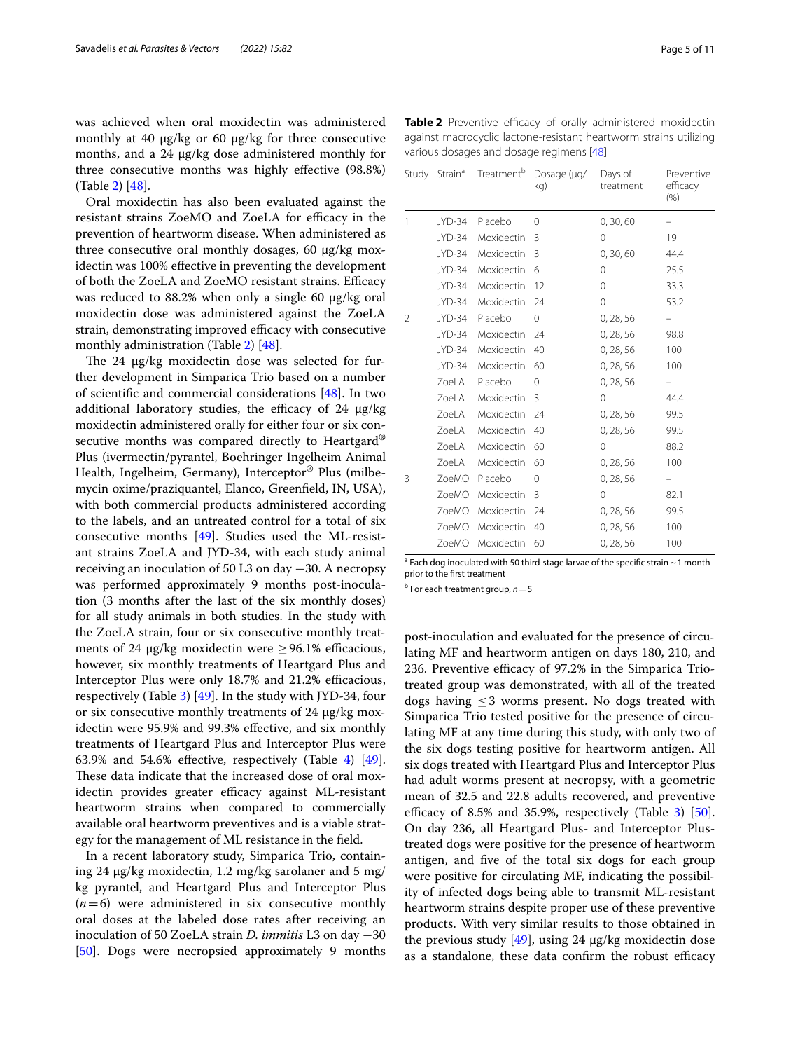was achieved when oral moxidectin was administered monthly at 40  $\mu$ g/kg or 60  $\mu$ g/kg for three consecutive months, and a 24  $\mu$ g/kg dose administered monthly for three consecutive months was highly efective (98.8%) (Table [2](#page-4-0)) [\[48](#page-9-19)].

Oral moxidectin has also been evaluated against the resistant strains ZoeMO and ZoeLA for efficacy in the prevention of heartworm disease. When administered as three consecutive oral monthly dosages, 60  $\mu$ g/kg moxidectin was 100% efective in preventing the development of both the ZoeLA and ZoeMO resistant strains. Efficacy was reduced to  $88.2\%$  when only a single 60  $\mu$ g/kg oral moxidectin dose was administered against the ZoeLA strain, demonstrating improved efficacy with consecutive monthly administration (Table [2\)](#page-4-0) [[48](#page-9-19)].

The 24 µg/kg moxidectin dose was selected for further development in Simparica Trio based on a number of scientifc and commercial considerations [\[48](#page-9-19)]. In two additional laboratory studies, the efficacy of  $24 \mu g/kg$ moxidectin administered orally for either four or six consecutive months was compared directly to Heartgard<sup>®</sup> Plus (ivermectin/pyrantel, Boehringer Ingelheim Animal Health, Ingelheim, Germany), Interceptor® Plus (milbemycin oxime/praziquantel, Elanco, Greenfeld, IN, USA), with both commercial products administered according to the labels, and an untreated control for a total of six consecutive months [\[49](#page-9-20)]. Studies used the ML-resistant strains ZoeLA and JYD-34, with each study animal receiving an inoculation of 50 L3 on day −30. A necropsy was performed approximately 9 months post-inoculation (3 months after the last of the six monthly doses) for all study animals in both studies. In the study with the ZoeLA strain, four or six consecutive monthly treatments of 24  $\mu$ g/kg moxidectin were  $\geq$  96.1% efficacious, however, six monthly treatments of Heartgard Plus and Interceptor Plus were only 18.7% and 21.2% efficacious, respectively (Table [3](#page-5-0)) [\[49](#page-9-20)]. In the study with JYD-34, four or six consecutive monthly treatments of 24 µg/kg moxidectin were 95.9% and 99.3% efective, and six monthly treatments of Heartgard Plus and Interceptor Plus were 63.9% and 5[4](#page-5-1).6% effective, respectively (Table 4)  $[49]$  $[49]$ . These data indicate that the increased dose of oral moxidectin provides greater efficacy against ML-resistant heartworm strains when compared to commercially available oral heartworm preventives and is a viable strategy for the management of ML resistance in the feld.

In a recent laboratory study, Simparica Trio, containing 24 µg/kg moxidectin, 1.2 mg/kg sarolaner and 5 mg/ kg pyrantel, and Heartgard Plus and Interceptor Plus  $(n=6)$  were administered in six consecutive monthly oral doses at the labeled dose rates after receiving an inoculation of 50 ZoeLA strain *D. immitis* L3 on day −30 [[50\]](#page-9-21). Dogs were necropsied approximately 9 months <span id="page-4-0"></span>**Table 2** Preventive efficacy of orally administered moxidectin against macrocyclic lactone-resistant heartworm strains utilizing various dosages and dosage regimens [\[48\]](#page-9-19)

| Study | Strain <sup>a</sup> | Treatment <sup>b</sup> | Dosage (µg/<br>kg) | Days of<br>treatment | Preventive<br>efficacy<br>(% ) |
|-------|---------------------|------------------------|--------------------|----------------------|--------------------------------|
| 1     | JYD-34              | Placebo                | 0                  | 0, 30, 60            |                                |
|       | JYD-34              | Moxidectin             | 3                  | 0                    | 19                             |
|       | JYD-34              | Moxidectin             | 3                  | 0, 30, 60            | 44.4                           |
|       | JYD-34              | Moxidectin             | 6                  | 0                    | 25.5                           |
|       | JYD-34              | Moxidectin             | 12                 | 0                    | 33.3                           |
|       | JYD-34              | Moxidectin             | 24                 | $\mathbf 0$          | 53.2                           |
| 2     | JYD-34              | Placebo                | $\Omega$           | 0, 28, 56            |                                |
|       | JYD-34              | Moxidectin             | 24                 | 0, 28, 56            | 98.8                           |
|       | JYD-34              | Moxidectin             | 40                 | 0, 28, 56            | 100                            |
|       | JYD-34              | Moxidectin             | 60                 | 0, 28, 56            | 100                            |
|       | ZoeLA               | Placebo                | 0                  | 0, 28, 56            |                                |
|       | ZoeLA               | Moxidectin             | 3                  | 0                    | 44.4                           |
|       | ZoeLA               | Moxidectin             | 24                 | 0, 28, 56            | 99.5                           |
|       | ZoeLA               | Moxidectin             | 40                 | 0, 28, 56            | 99.5                           |
|       | ZoeLA               | Moxidectin             | 60                 | 0                    | 88.2                           |
|       | ZoeLA               | Moxidectin             | 60                 | 0, 28, 56            | 100                            |
| 3     | ZoeMO               | Placebo                | 0                  | 0, 28, 56            |                                |
|       | ZoeMO               | Moxidectin             | 3                  | 0                    | 82.1                           |
|       | ZoeMO               | Moxidectin             | 24                 | 0, 28, 56            | 99.5                           |
|       | ZoeMO               | Moxidectin             | 40                 | 0, 28, 56            | 100                            |
|       | ZoeMO               | Moxidectin             | 60                 | 0, 28, 56            | 100                            |

<sup>a</sup> Each dog inoculated with 50 third-stage larvae of the specific strain ~1 month prior to the frst treatment

b For each treatment group, *n*=5

post-inoculation and evaluated for the presence of circulating MF and heartworm antigen on days 180, 210, and 236. Preventive efficacy of 97.2% in the Simparica Triotreated group was demonstrated, with all of the treated dogs having  $\leq$  3 worms present. No dogs treated with Simparica Trio tested positive for the presence of circulating MF at any time during this study, with only two of the six dogs testing positive for heartworm antigen. All six dogs treated with Heartgard Plus and Interceptor Plus had adult worms present at necropsy, with a geometric mean of 32.5 and 22.8 adults recovered, and preventive efficacy of 8.5% and 35.9%, respectively (Table [3\)](#page-5-0)  $[50]$  $[50]$ . On day 236, all Heartgard Plus- and Interceptor Plustreated dogs were positive for the presence of heartworm antigen, and fve of the total six dogs for each group were positive for circulating MF, indicating the possibility of infected dogs being able to transmit ML-resistant heartworm strains despite proper use of these preventive products. With very similar results to those obtained in the previous study  $[49]$  $[49]$  $[49]$ , using 24  $\mu$ g/kg moxidectin dose as a standalone, these data confirm the robust efficacy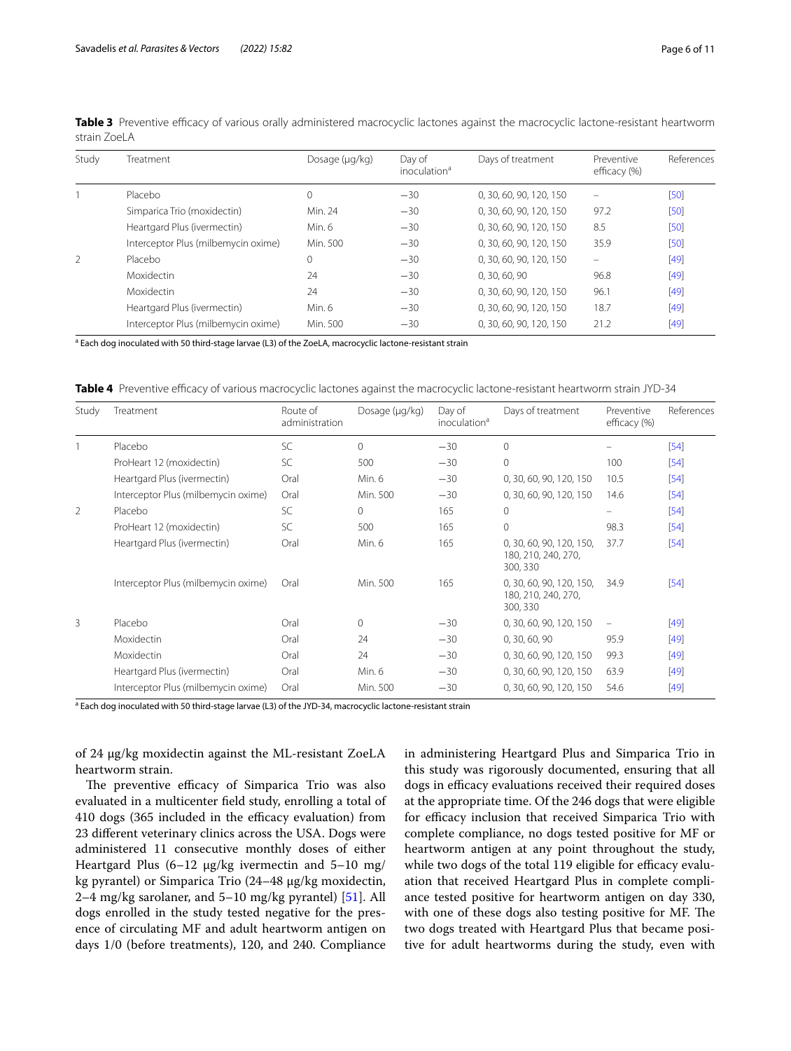| Study          | Treatment                           | Dosage (µg/kg) | Day of<br>inoculation <sup>a</sup> | Days of treatment       | Preventive<br>efficacy (%) | References |
|----------------|-------------------------------------|----------------|------------------------------------|-------------------------|----------------------------|------------|
|                | Placebo                             | 0              | $-30$                              | 0, 30, 60, 90, 120, 150 |                            | $[50]$     |
|                | Simparica Trio (moxidectin)         | Min. 24        | $-30$                              | 0, 30, 60, 90, 120, 150 | 97.2                       | $[50]$     |
|                | Heartgard Plus (ivermectin)         | Min. 6         | $-30$                              | 0, 30, 60, 90, 120, 150 | 8.5                        | $[50]$     |
|                | Interceptor Plus (milbemycin oxime) | Min. 500       | $-30$                              | 0, 30, 60, 90, 120, 150 | 35.9                       | $[50]$     |
| $\overline{2}$ | Placebo                             | 0              | $-30$                              | 0, 30, 60, 90, 120, 150 |                            | $[49]$     |
|                | <b>Moxidectin</b>                   | 24             | $-30$                              | 0, 30, 60, 90           | 96.8                       | $[49]$     |
|                | Moxidectin                          | 24             | $-30$                              | 0, 30, 60, 90, 120, 150 | 96.1                       | $[49]$     |
|                | Heartgard Plus (ivermectin)         | Min. 6         | $-30$                              | 0, 30, 60, 90, 120, 150 | 18.7                       | $[49]$     |
|                | Interceptor Plus (milbemycin oxime) | Min. 500       | $-30$                              | 0, 30, 60, 90, 120, 150 | 21.2                       | $[49]$     |

<span id="page-5-0"></span>Table 3 Preventive efficacy of various orally administered macrocyclic lactones against the macrocyclic lactone-resistant heartworm strain Zoel A

<sup>a</sup> Each dog inoculated with 50 third-stage larvae (L3) of the ZoeLA, macrocyclic lactone-resistant strain

<span id="page-5-1"></span>**Table 4** Preventive efficacy of various macrocyclic lactones against the macrocyclic lactone-resistant heartworm strain JYD-34

| Study | Treatment                           | Route of<br>administration | Dosage (µg/kg) | Day of<br>inoculation <sup>a</sup> | Days of treatment                                           | Preventive<br>efficacy (%) | References |
|-------|-------------------------------------|----------------------------|----------------|------------------------------------|-------------------------------------------------------------|----------------------------|------------|
|       | Placebo                             | SC                         | $\Omega$       | $-30$                              | $\mathbf{0}$                                                |                            | $[54]$     |
|       | ProHeart 12 (moxidectin)            | SC                         | 500            | $-30$                              | $\mathbf 0$                                                 | 100                        | $[54]$     |
|       | Heartgard Plus (ivermectin)         | Oral                       | Min. 6         | $-30$                              | 0, 30, 60, 90, 120, 150                                     | 10.5                       | $[54]$     |
|       | Interceptor Plus (milbemycin oxime) | Oral                       | Min. 500       | $-30$                              | 0, 30, 60, 90, 120, 150                                     | 14.6                       | $[54]$     |
| 2     | Placebo                             | SC                         | $\Omega$       | 165                                | 0                                                           | -                          | $[54]$     |
|       | ProHeart 12 (moxidectin)            | SC                         | 500            | 165                                | $\mathbf 0$                                                 | 98.3                       | $[54]$     |
|       | Heartgard Plus (ivermectin)         | Oral                       | Min. 6         | 165                                | 0, 30, 60, 90, 120, 150,<br>180, 210, 240, 270,<br>300, 330 | 37.7                       | $[54]$     |
|       | Interceptor Plus (milbemycin oxime) | Oral                       | Min. 500       | 165                                | 0, 30, 60, 90, 120, 150,<br>180, 210, 240, 270,<br>300, 330 | 34.9                       | $[54]$     |
| 3     | Placebo                             | Oral                       | $\Omega$       | $-30$                              | 0, 30, 60, 90, 120, 150                                     | $\qquad \qquad -$          | $[49]$     |
|       | Moxidectin                          | Oral                       | 24             | $-30$                              | 0, 30, 60, 90                                               | 95.9                       | $[49]$     |
|       | Moxidectin                          | Oral                       | 24             | $-30$                              | 0, 30, 60, 90, 120, 150                                     | 99.3                       | $[49]$     |
|       | Heartgard Plus (ivermectin)         | Oral                       | Min. 6         | $-30$                              | 0, 30, 60, 90, 120, 150                                     | 63.9                       | [49]       |
|       | Interceptor Plus (milbemycin oxime) | Oral                       | Min. 500       | $-30$                              | 0, 30, 60, 90, 120, 150                                     | 54.6                       | [49]       |

<sup>a</sup> Each dog inoculated with 50 third-stage larvae (L3) of the JYD-34, macrocyclic lactone-resistant strain

of 24 µg/kg moxidectin against the ML-resistant ZoeLA heartworm strain.

The preventive efficacy of Simparica Trio was also evaluated in a multicenter feld study, enrolling a total of 410 dogs (365 included in the efficacy evaluation) from 23 diferent veterinary clinics across the USA. Dogs were administered 11 consecutive monthly doses of either Heartgard Plus  $(6-12 \mu g/kg)$  ivermectin and  $5-10 \mu g/$ kg pyrantel) or Simparica Trio (24–48 µg/kg moxidectin, 2–4 mg/kg sarolaner, and 5–10 mg/kg pyrantel) [\[51](#page-9-22)]. All dogs enrolled in the study tested negative for the presence of circulating MF and adult heartworm antigen on days 1/0 (before treatments), 120, and 240. Compliance in administering Heartgard Plus and Simparica Trio in this study was rigorously documented, ensuring that all dogs in efficacy evaluations received their required doses at the appropriate time. Of the 246 dogs that were eligible for efficacy inclusion that received Simparica Trio with complete compliance, no dogs tested positive for MF or heartworm antigen at any point throughout the study, while two dogs of the total 119 eligible for efficacy evaluation that received Heartgard Plus in complete compliance tested positive for heartworm antigen on day 330, with one of these dogs also testing positive for MF. The two dogs treated with Heartgard Plus that became positive for adult heartworms during the study, even with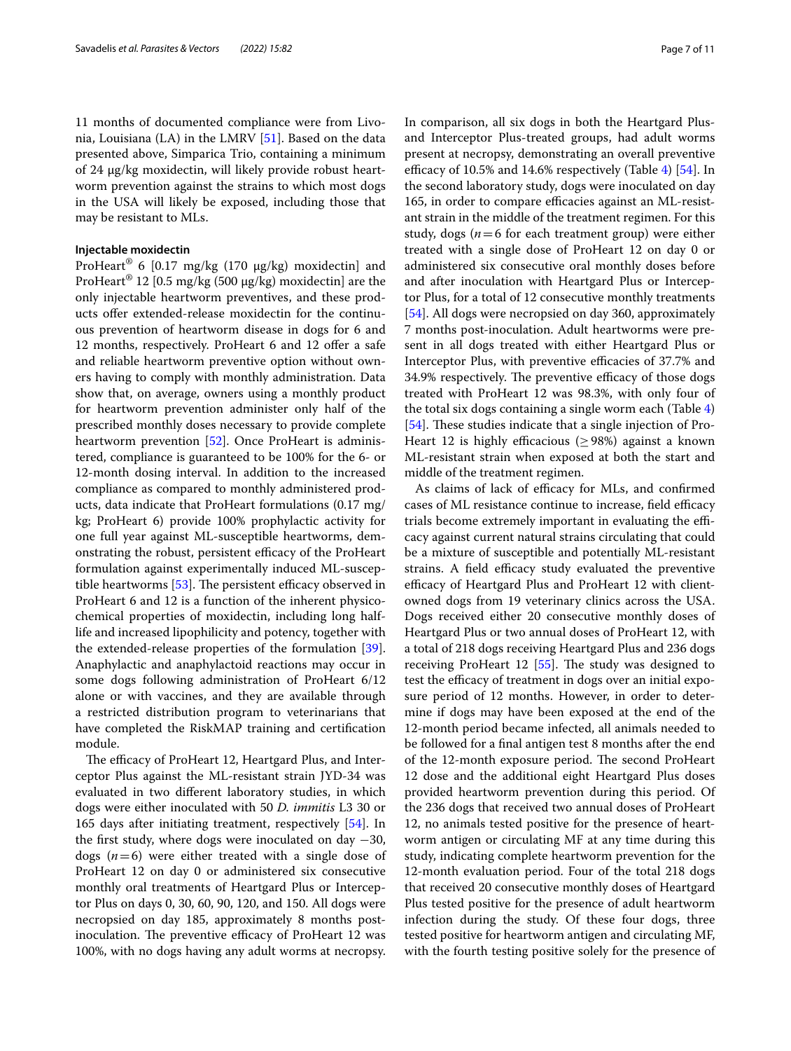11 months of documented compliance were from Livonia, Louisiana (LA) in the LMRV [[51\]](#page-9-22). Based on the data presented above, Simparica Trio, containing a minimum of 24 µg/kg moxidectin, will likely provide robust heartworm prevention against the strains to which most dogs in the USA will likely be exposed, including those that may be resistant to MLs.

## **Injectable moxidectin**

ProHeart® 6 [0.17 mg/kg (170 µg/kg) moxidectin] and ProHeart<sup>®</sup> 12 [0.5 mg/kg (500  $\mu$ g/kg) moxidectin] are the only injectable heartworm preventives, and these products ofer extended-release moxidectin for the continuous prevention of heartworm disease in dogs for 6 and 12 months, respectively. ProHeart 6 and 12 offer a safe and reliable heartworm preventive option without owners having to comply with monthly administration. Data show that, on average, owners using a monthly product for heartworm prevention administer only half of the prescribed monthly doses necessary to provide complete heartworm prevention [[52](#page-9-24)]. Once ProHeart is administered, compliance is guaranteed to be 100% for the 6- or 12-month dosing interval. In addition to the increased compliance as compared to monthly administered products, data indicate that ProHeart formulations (0.17 mg/ kg; ProHeart 6) provide 100% prophylactic activity for one full year against ML-susceptible heartworms, demonstrating the robust, persistent efficacy of the ProHeart formulation against experimentally induced ML-susceptible heartworms  $[53]$ . The persistent efficacy observed in ProHeart 6 and 12 is a function of the inherent physicochemical properties of moxidectin, including long halflife and increased lipophilicity and potency, together with the extended-release properties of the formulation [\[39](#page-9-12)]. Anaphylactic and anaphylactoid reactions may occur in some dogs following administration of ProHeart 6/12 alone or with vaccines, and they are available through a restricted distribution program to veterinarians that have completed the RiskMAP training and certifcation module.

The efficacy of ProHeart 12, Heartgard Plus, and Interceptor Plus against the ML-resistant strain JYD-34 was evaluated in two diferent laboratory studies, in which dogs were either inoculated with 50 *D. immitis* L3 30 or 165 days after initiating treatment, respectively [[54\]](#page-9-23). In the first study, where dogs were inoculated on day  $-30$ , dogs  $(n=6)$  were either treated with a single dose of ProHeart 12 on day 0 or administered six consecutive monthly oral treatments of Heartgard Plus or Interceptor Plus on days 0, 30, 60, 90, 120, and 150. All dogs were necropsied on day 185, approximately 8 months postinoculation. The preventive efficacy of ProHeart 12 was 100%, with no dogs having any adult worms at necropsy. In comparison, all six dogs in both the Heartgard Plusand Interceptor Plus-treated groups, had adult worms present at necropsy, demonstrating an overall preventive efficacy of 10.5% and 1[4](#page-5-1).6% respectively (Table 4)  $[54]$ . In the second laboratory study, dogs were inoculated on day 165, in order to compare efficacies against an ML-resistant strain in the middle of the treatment regimen. For this study, dogs ( $n=6$  for each treatment group) were either treated with a single dose of ProHeart 12 on day 0 or administered six consecutive oral monthly doses before and after inoculation with Heartgard Plus or Interceptor Plus, for a total of 12 consecutive monthly treatments [[54\]](#page-9-23). All dogs were necropsied on day 360, approximately 7 months post-inoculation. Adult heartworms were present in all dogs treated with either Heartgard Plus or Interceptor Plus, with preventive efficacies of 37.7% and 34.9% respectively. The preventive efficacy of those dogs treated with ProHeart 12 was 98.3%, with only four of the total six dogs containing a single worm each (Table [4](#page-5-1)) [[54\]](#page-9-23). These studies indicate that a single injection of Pro-Heart 12 is highly efficacious ( $\geq$ 98%) against a known ML-resistant strain when exposed at both the start and middle of the treatment regimen.

As claims of lack of efficacy for MLs, and confirmed cases of ML resistance continue to increase, field efficacy trials become extremely important in evaluating the efficacy against current natural strains circulating that could be a mixture of susceptible and potentially ML-resistant strains. A field efficacy study evaluated the preventive efficacy of Heartgard Plus and ProHeart 12 with clientowned dogs from 19 veterinary clinics across the USA. Dogs received either 20 consecutive monthly doses of Heartgard Plus or two annual doses of ProHeart 12, with a total of 218 dogs receiving Heartgard Plus and 236 dogs receiving ProHeart 12  $[55]$  $[55]$ . The study was designed to test the efficacy of treatment in dogs over an initial exposure period of 12 months. However, in order to determine if dogs may have been exposed at the end of the 12-month period became infected, all animals needed to be followed for a fnal antigen test 8 months after the end of the 12-month exposure period. The second ProHeart 12 dose and the additional eight Heartgard Plus doses provided heartworm prevention during this period. Of the 236 dogs that received two annual doses of ProHeart 12, no animals tested positive for the presence of heartworm antigen or circulating MF at any time during this study, indicating complete heartworm prevention for the 12-month evaluation period. Four of the total 218 dogs that received 20 consecutive monthly doses of Heartgard Plus tested positive for the presence of adult heartworm infection during the study. Of these four dogs, three tested positive for heartworm antigen and circulating MF, with the fourth testing positive solely for the presence of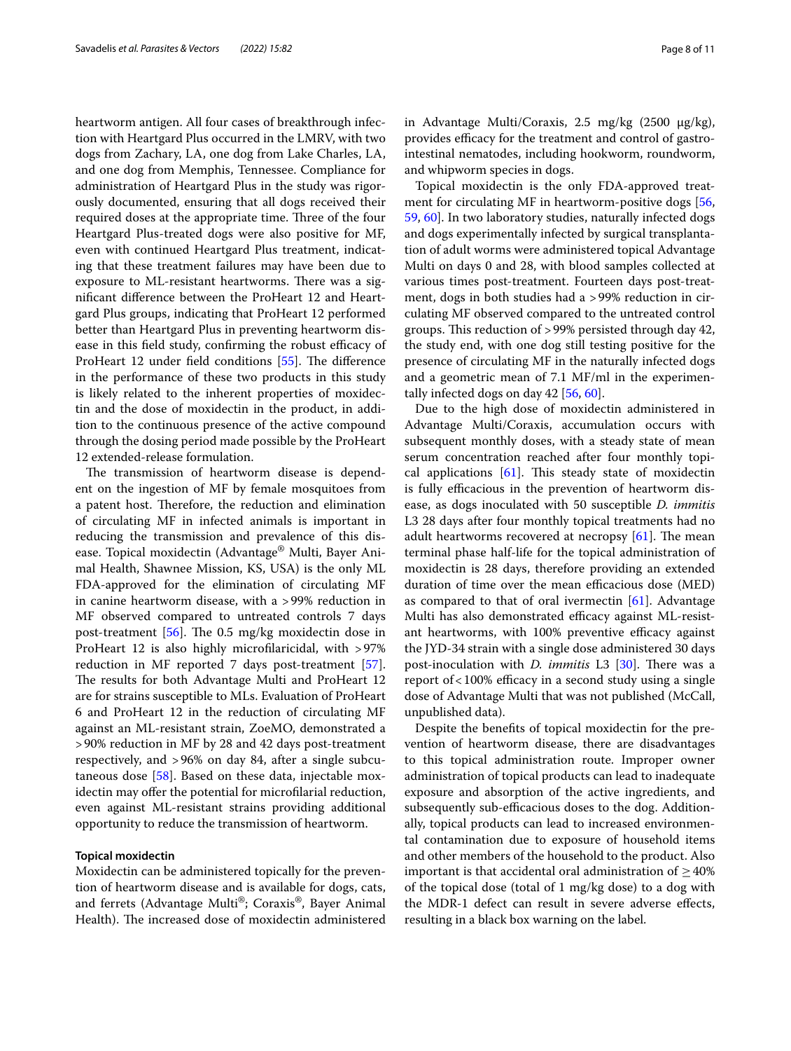heartworm antigen. All four cases of breakthrough infection with Heartgard Plus occurred in the LMRV, with two dogs from Zachary, LA, one dog from Lake Charles, LA, and one dog from Memphis, Tennessee. Compliance for administration of Heartgard Plus in the study was rigorously documented, ensuring that all dogs received their required doses at the appropriate time. Three of the four Heartgard Plus-treated dogs were also positive for MF, even with continued Heartgard Plus treatment, indicating that these treatment failures may have been due to exposure to ML-resistant heartworms. There was a signifcant diference between the ProHeart 12 and Heartgard Plus groups, indicating that ProHeart 12 performed better than Heartgard Plus in preventing heartworm disease in this field study, confirming the robust efficacy of ProHeart 12 under field conditions [[55\]](#page-9-26). The difference in the performance of these two products in this study is likely related to the inherent properties of moxidectin and the dose of moxidectin in the product, in addition to the continuous presence of the active compound through the dosing period made possible by the ProHeart 12 extended-release formulation.

The transmission of heartworm disease is dependent on the ingestion of MF by female mosquitoes from a patent host. Therefore, the reduction and elimination of circulating MF in infected animals is important in reducing the transmission and prevalence of this disease. Topical moxidectin (Advantage® Multi, Bayer Animal Health, Shawnee Mission, KS, USA) is the only ML FDA-approved for the elimination of circulating MF in canine heartworm disease, with a >99% reduction in MF observed compared to untreated controls 7 days post-treatment  $[56]$  $[56]$ . The 0.5 mg/kg moxidectin dose in ProHeart 12 is also highly microflaricidal, with >97% reduction in MF reported 7 days post-treatment [\[57](#page-9-28)]. The results for both Advantage Multi and ProHeart 12 are for strains susceptible to MLs. Evaluation of ProHeart 6 and ProHeart 12 in the reduction of circulating MF against an ML-resistant strain, ZoeMO, demonstrated a >90% reduction in MF by 28 and 42 days post-treatment respectively, and >96% on day 84, after a single subcutaneous dose [[58](#page-9-29)]. Based on these data, injectable moxidectin may offer the potential for microfilarial reduction, even against ML-resistant strains providing additional opportunity to reduce the transmission of heartworm.

## **Topical moxidectin**

Moxidectin can be administered topically for the prevention of heartworm disease and is available for dogs, cats, and ferrets (Advantage Multi®; Coraxis®, Bayer Animal Health). The increased dose of moxidectin administered in Advantage Multi/Coraxis,  $2.5 \text{ mg/kg}$  (2500  $\mu$ g/kg), provides efficacy for the treatment and control of gastrointestinal nematodes, including hookworm, roundworm, and whipworm species in dogs.

Topical moxidectin is the only FDA-approved treat-ment for circulating MF in heartworm-positive dogs [[56](#page-9-27), [59,](#page-10-0) [60](#page-10-1)]. In two laboratory studies, naturally infected dogs and dogs experimentally infected by surgical transplantation of adult worms were administered topical Advantage Multi on days 0 and 28, with blood samples collected at various times post-treatment. Fourteen days post-treatment, dogs in both studies had a >99% reduction in circulating MF observed compared to the untreated control groups. This reduction of >99% persisted through day 42, the study end, with one dog still testing positive for the presence of circulating MF in the naturally infected dogs and a geometric mean of 7.1 MF/ml in the experimentally infected dogs on day 42 [[56,](#page-9-27) [60](#page-10-1)].

Due to the high dose of moxidectin administered in Advantage Multi/Coraxis, accumulation occurs with subsequent monthly doses, with a steady state of mean serum concentration reached after four monthly topical applications  $[61]$  $[61]$  $[61]$ . This steady state of moxidectin is fully efficacious in the prevention of heartworm disease, as dogs inoculated with 50 susceptible *D. immitis* L3 28 days after four monthly topical treatments had no adult heartworms recovered at necropsy  $[61]$  $[61]$ . The mean terminal phase half-life for the topical administration of moxidectin is 28 days, therefore providing an extended duration of time over the mean efficacious dose (MED) as compared to that of oral ivermectin  $[61]$ . Advantage Multi has also demonstrated efficacy against ML-resistant heartworms, with 100% preventive efficacy against the JYD-34 strain with a single dose administered 30 days post-inoculation with *D. immitis* L3 [[30\]](#page-9-30). There was a report of  $<$  100% efficacy in a second study using a single dose of Advantage Multi that was not published (McCall, unpublished data).

Despite the benefts of topical moxidectin for the prevention of heartworm disease, there are disadvantages to this topical administration route. Improper owner administration of topical products can lead to inadequate exposure and absorption of the active ingredients, and subsequently sub-efficacious doses to the dog. Additionally, topical products can lead to increased environmental contamination due to exposure of household items and other members of the household to the product. Also important is that accidental oral administration of  $>40\%$ of the topical dose (total of 1 mg/kg dose) to a dog with the MDR-1 defect can result in severe adverse efects, resulting in a black box warning on the label.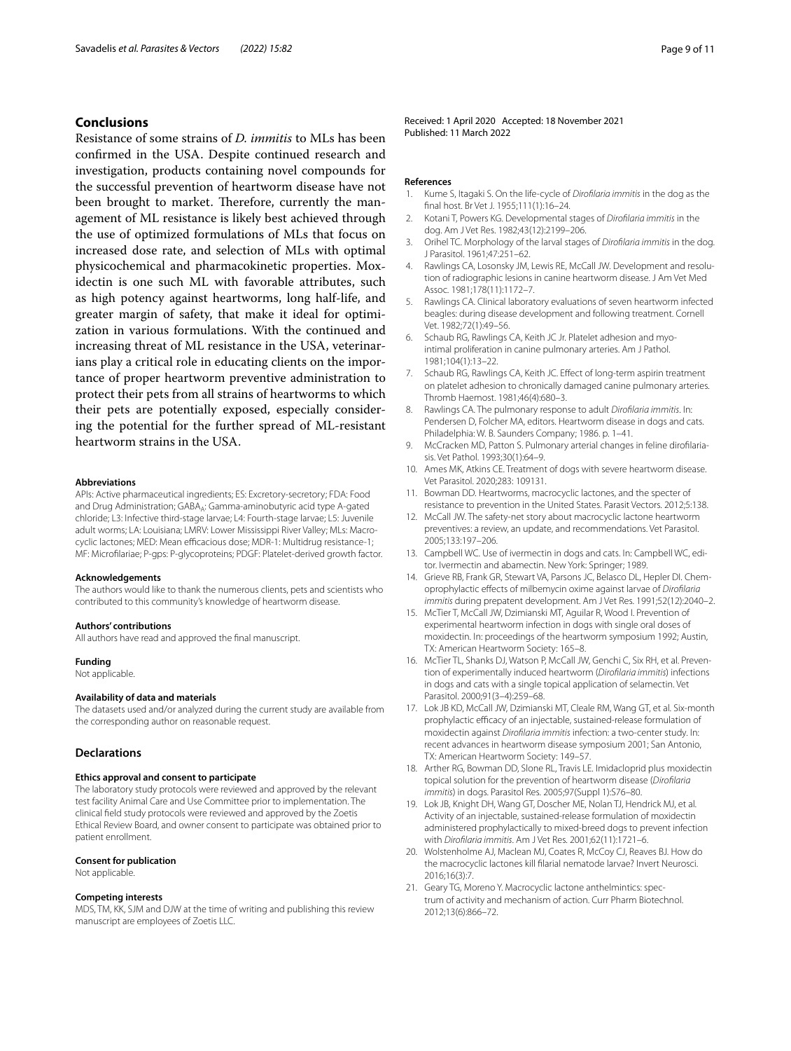## **Conclusions**

Resistance of some strains of *D. immitis* to MLs has been confrmed in the USA. Despite continued research and investigation, products containing novel compounds for the successful prevention of heartworm disease have not been brought to market. Therefore, currently the management of ML resistance is likely best achieved through the use of optimized formulations of MLs that focus on increased dose rate, and selection of MLs with optimal physicochemical and pharmacokinetic properties. Moxidectin is one such ML with favorable attributes, such as high potency against heartworms, long half-life, and greater margin of safety, that make it ideal for optimization in various formulations. With the continued and increasing threat of ML resistance in the USA, veterinarians play a critical role in educating clients on the importance of proper heartworm preventive administration to protect their pets from all strains of heartworms to which their pets are potentially exposed, especially considering the potential for the further spread of ML-resistant heartworm strains in the USA.

#### **Abbreviations**

APIs: Active pharmaceutical ingredients; ES: Excretory-secretory; FDA: Food and Drug Administration; GABA<sub>A</sub>: Gamma-aminobutyric acid type A-gated chloride; L3: Infective third-stage larvae; L4: Fourth-stage larvae; L5: Juvenile adult worms; LA: Louisiana; LMRV: Lower Mississippi River Valley; MLs: Macrocyclic lactones; MED: Mean efficacious dose; MDR-1: Multidrug resistance-1; MF: Microflariae; P-gps: P-glycoproteins; PDGF: Platelet-derived growth factor.

#### **Acknowledgements**

The authors would like to thank the numerous clients, pets and scientists who contributed to this community's knowledge of heartworm disease.

#### **Authors' contributions**

All authors have read and approved the fnal manuscript.

## **Funding**

Not applicable.

#### **Availability of data and materials**

The datasets used and/or analyzed during the current study are available from the corresponding author on reasonable request.

## **Declarations**

#### **Ethics approval and consent to participate**

The laboratory study protocols were reviewed and approved by the relevant test facility Animal Care and Use Committee prior to implementation. The clinical feld study protocols were reviewed and approved by the Zoetis Ethical Review Board, and owner consent to participate was obtained prior to patient enrollment.

#### **Consent for publication**

Not applicable.

## **Competing interests**

MDS, TM, KK, SJM and DJW at the time of writing and publishing this review manuscript are employees of Zoetis LLC.

Received: 1 April 2020 Accepted: 18 November 2021 Published: 11 March 2022

#### **References**

- <span id="page-8-0"></span>1. Kume S, Itagaki S. On the life-cycle of *Diroflaria immitis* in the dog as the fnal host. Br Vet J. 1955;111(1):16–24.
- <span id="page-8-1"></span>2. Kotani T, Powers KG. Developmental stages of *Diroflaria immitis* in the dog. Am J Vet Res. 1982;43(12):2199–206.
- <span id="page-8-2"></span>3. Orihel TC. Morphology of the larval stages of *Diroflaria immitis* in the dog. J Parasitol. 1961;47:251–62.
- <span id="page-8-3"></span>4. Rawlings CA, Losonsky JM, Lewis RE, McCall JW. Development and resolution of radiographic lesions in canine heartworm disease. J Am Vet Med Assoc. 1981;178(11):1172–7.
- <span id="page-8-4"></span>5. Rawlings CA. Clinical laboratory evaluations of seven heartworm infected beagles: during disease development and following treatment. Cornell Vet. 1982;72(1):49–56.
- <span id="page-8-5"></span>6. Schaub RG, Rawlings CA, Keith JC Jr. Platelet adhesion and myointimal proliferation in canine pulmonary arteries. Am J Pathol. 1981;104(1):13–22.
- <span id="page-8-6"></span>7. Schaub RG, Rawlings CA, Keith JC. Effect of long-term aspirin treatment on platelet adhesion to chronically damaged canine pulmonary arteries. Thromb Haemost. 1981;46(4):680–3.
- <span id="page-8-7"></span>8. Rawlings CA. The pulmonary response to adult *Diroflaria immitis*. In: Pendersen D, Folcher MA, editors. Heartworm disease in dogs and cats. Philadelphia: W. B. Saunders Company; 1986. p. 1–41.
- <span id="page-8-8"></span>9. McCracken MD, Patton S. Pulmonary arterial changes in feline diroflariasis. Vet Pathol. 1993;30(1):64–9.
- <span id="page-8-9"></span>10. Ames MK, Atkins CE. Treatment of dogs with severe heartworm disease. Vet Parasitol. 2020;283: 109131.
- <span id="page-8-10"></span>11. Bowman DD. Heartworms, macrocyclic lactones, and the specter of resistance to prevention in the United States. Parasit Vectors. 2012;5:138.
- 12. McCall JW. The safety-net story about macrocyclic lactone heartworm preventives: a review, an update, and recommendations. Vet Parasitol. 2005;133:197–206.
- <span id="page-8-12"></span>13. Campbell WC. Use of ivermectin in dogs and cats. In: Campbell WC, editor. Ivermectin and abamectin. New York: Springer; 1989.
- <span id="page-8-15"></span>14. Grieve RB, Frank GR, Stewart VA, Parsons JC, Belasco DL, Hepler DI. Chemoprophylactic efects of milbemycin oxime against larvae of *Diroflaria immitis* during prepatent development. Am J Vet Res. 1991;52(12):2040–2.
- <span id="page-8-14"></span>15. McTier T, McCall JW, Dzimianski MT, Aguilar R, Wood I. Prevention of experimental heartworm infection in dogs with single oral doses of moxidectin. In: proceedings of the heartworm symposium 1992; Austin, TX: American Heartworm Society: 165–8.
- 16. McTier TL, Shanks DJ, Watson P, McCall JW, Genchi C, Six RH, et al. Prevention of experimentally induced heartworm (*Diroflaria immitis*) infections in dogs and cats with a single topical application of selamectin. Vet Parasitol. 2000;91(3–4):259–68.
- 17. Lok JB KD, McCall JW, Dzimianski MT, Cleale RM, Wang GT, et al. Six-month prophylactic efficacy of an injectable, sustained-release formulation of moxidectin against *Diroflaria immitis* infection: a two-center study. In: recent advances in heartworm disease symposium 2001; San Antonio, TX: American Heartworm Society: 149–57.
- 18. Arther RG, Bowman DD, Slone RL, Travis LE. Imidacloprid plus moxidectin topical solution for the prevention of heartworm disease (*Diroflaria immitis*) in dogs. Parasitol Res. 2005;97(Suppl 1):S76–80.
- <span id="page-8-11"></span>19. Lok JB, Knight DH, Wang GT, Doscher ME, Nolan TJ, Hendrick MJ, et al. Activity of an injectable, sustained-release formulation of moxidectin administered prophylactically to mixed-breed dogs to prevent infection with *Diroflaria immitis*. Am J Vet Res. 2001;62(11):1721–6.
- <span id="page-8-13"></span>20. Wolstenholme AJ, Maclean MJ, Coates R, McCoy CJ, Reaves BJ. How do the macrocyclic lactones kill flarial nematode larvae? Invert Neurosci. 2016;16(3):7.
- 21. Geary TG, Moreno Y. Macrocyclic lactone anthelmintics: spectrum of activity and mechanism of action. Curr Pharm Biotechnol. 2012;13(6):866–72.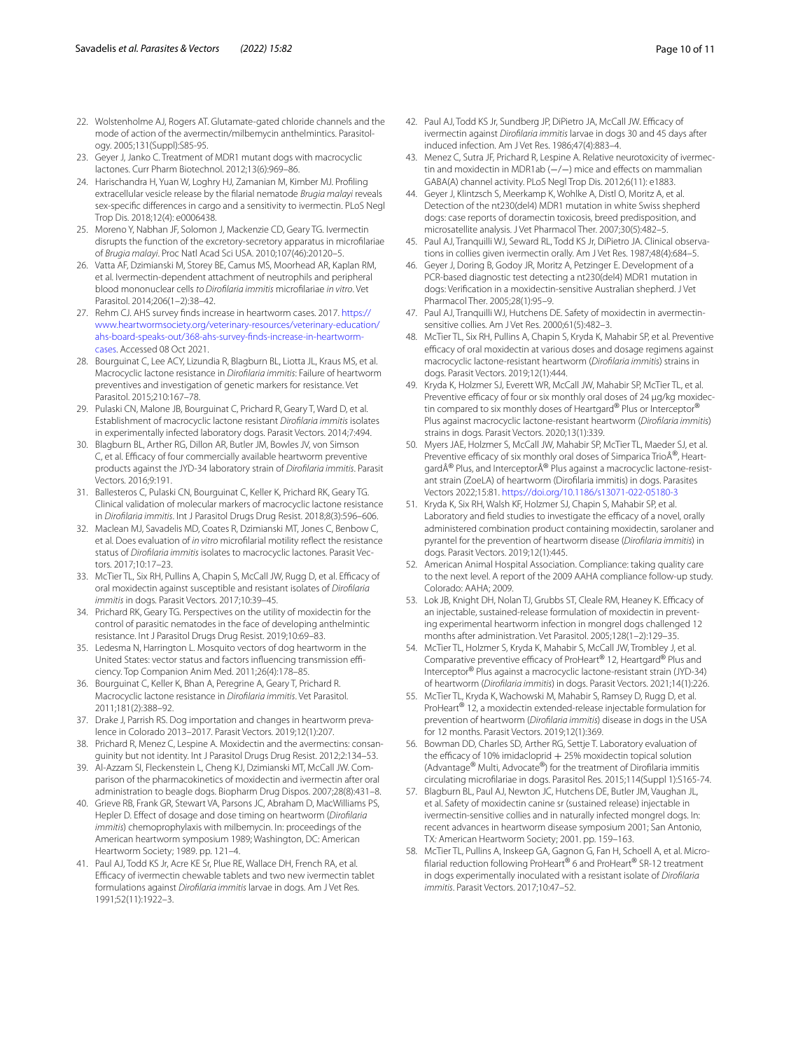- <span id="page-9-0"></span>22. Wolstenholme AJ, Rogers AT. Glutamate-gated chloride channels and the mode of action of the avermectin/milbemycin anthelmintics. Parasitology. 2005;131(Suppl):S85-95.
- <span id="page-9-1"></span>23. Geyer J, Janko C. Treatment of MDR1 mutant dogs with macrocyclic lactones. Curr Pharm Biotechnol. 2012;13(6):969–86.
- <span id="page-9-2"></span>24. Harischandra H, Yuan W, Loghry HJ, Zamanian M, Kimber MJ. Profling extracellular vesicle release by the flarial nematode *Brugia malayi* reveals sex-specifc diferences in cargo and a sensitivity to ivermectin. PLoS Negl Trop Dis. 2018;12(4): e0006438.
- <span id="page-9-3"></span>25. Moreno Y, Nabhan JF, Solomon J, Mackenzie CD, Geary TG. Ivermectin disrupts the function of the excretory-secretory apparatus in microflariae of *Brugia malayi*. Proc Natl Acad Sci USA. 2010;107(46):20120–5.
- <span id="page-9-4"></span>26. Vatta AF, Dzimianski M, Storey BE, Camus MS, Moorhead AR, Kaplan RM, et al. Ivermectin-dependent attachment of neutrophils and peripheral blood mononuclear cells *to Diroflaria immitis* microflariae *in vitro*. Vet Parasitol. 2014;206(1–2):38–42.
- <span id="page-9-5"></span>27. Rehm CJ. AHS survey fnds increase in heartworm cases. 2017. [https://](https://www.heartwormsociety.org/veterinary-resources/veterinary-education/ahs-board-speaks-out/368-ahs-survey-finds-increase-in-heartworm-cases) [www.heartwormsociety.org/veterinary-resources/veterinary-education/](https://www.heartwormsociety.org/veterinary-resources/veterinary-education/ahs-board-speaks-out/368-ahs-survey-finds-increase-in-heartworm-cases) [ahs-board-speaks-out/368-ahs-survey-fnds-increase-in-heartworm](https://www.heartwormsociety.org/veterinary-resources/veterinary-education/ahs-board-speaks-out/368-ahs-survey-finds-increase-in-heartworm-cases)[cases.](https://www.heartwormsociety.org/veterinary-resources/veterinary-education/ahs-board-speaks-out/368-ahs-survey-finds-increase-in-heartworm-cases) Accessed 08 Oct 2021.
- 28. Bourguinat C, Lee ACY, Lizundia R, Blagburn BL, Liotta JL, Kraus MS, et al. Macrocyclic lactone resistance in *Diroflaria immitis*: Failure of heartworm preventives and investigation of genetic markers for resistance. Vet Parasitol. 2015;210:167–78.
- 29. Pulaski CN, Malone JB, Bourguinat C, Prichard R, Geary T, Ward D, et al. Establishment of macrocyclic lactone resistant *Diroflaria immitis* isolates in experimentally infected laboratory dogs. Parasit Vectors. 2014;7:494.
- <span id="page-9-30"></span>30. Blagburn BL, Arther RG, Dillon AR, Butler JM, Bowles JV, von Simson C, et al. Efficacy of four commercially available heartworm preventive products against the JYD-34 laboratory strain of *Diroflaria immitis*. Parasit Vectors. 2016;9:191.
- 31. Ballesteros C, Pulaski CN, Bourguinat C, Keller K, Prichard RK, Geary TG. Clinical validation of molecular markers of macrocyclic lactone resistance in *Diroflaria immitis*. Int J Parasitol Drugs Drug Resist. 2018;8(3):596–606.
- 32. Maclean MJ, Savadelis MD, Coates R, Dzimianski MT, Jones C, Benbow C, et al. Does evaluation of *in vitro* microflarial motility refect the resistance status of *Diroflaria immitis* isolates to macrocyclic lactones. Parasit Vectors. 2017;10:17–23.
- <span id="page-9-6"></span>33. McTier TL, Six RH, Pullins A, Chapin S, McCall JW, Rugg D, et al. Efficacy of oral moxidectin against susceptible and resistant isolates of *Diroflaria immitis* in dogs. Parasit Vectors. 2017;10:39–45.
- <span id="page-9-7"></span>34. Prichard RK, Geary TG. Perspectives on the utility of moxidectin for the control of parasitic nematodes in the face of developing anthelmintic resistance. Int J Parasitol Drugs Drug Resist. 2019;10:69–83.
- <span id="page-9-8"></span>35. Ledesma N, Harrington L. Mosquito vectors of dog heartworm in the United States: vector status and factors influencing transmission efficiency. Top Companion Anim Med. 2011;26(4):178–85.
- <span id="page-9-9"></span>36. Bourguinat C, Keller K, Bhan A, Peregrine A, Geary T, Prichard R. Macrocyclic lactone resistance in *Diroflaria immitis*. Vet Parasitol. 2011;181(2):388–92.
- <span id="page-9-10"></span>37. Drake J, Parrish RS. Dog importation and changes in heartworm prevalence in Colorado 2013–2017. Parasit Vectors. 2019;12(1):207.
- <span id="page-9-11"></span>38. Prichard R, Menez C, Lespine A. Moxidectin and the avermectins: consanguinity but not identity. Int J Parasitol Drugs Drug Resist. 2012;2:134–53.
- <span id="page-9-12"></span>39. Al-Azzam SI, Fleckenstein L, Cheng KJ, Dzimianski MT, McCall JW. Comparison of the pharmacokinetics of moxidectin and ivermectin after oral administration to beagle dogs. Biopharm Drug Dispos. 2007;28(8):431–8.
- <span id="page-9-13"></span>40. Grieve RB, Frank GR, Stewart VA, Parsons JC, Abraham D, MacWilliams PS, Hepler D. Efect of dosage and dose timing on heartworm (*Diroflaria immitis*) chemoprophylaxis with milbemycin. In: proceedings of the American heartworm symposium 1989; Washington, DC: American Heartworm Society; 1989. pp. 121–4.
- <span id="page-9-18"></span>41. Paul AJ, Todd KS Jr, Acre KE Sr, Plue RE, Wallace DH, French RA, et al. Efficacy of ivermectin chewable tablets and two new ivermectin tablet formulations against *Diroflaria immitis* larvae in dogs. Am J Vet Res. 1991;52(11):1922–3.
- <span id="page-9-14"></span>42. Paul AJ, Todd KS Jr, Sundberg JP, DiPietro JA, McCall JW. Efficacy of ivermectin against *Diroflaria immitis* larvae in dogs 30 and 45 days after induced infection. Am J Vet Res. 1986;47(4):883–4.
- <span id="page-9-15"></span>43. Menez C, Sutra JF, Prichard R, Lespine A. Relative neurotoxicity of ivermectin and moxidectin in MDR1ab (−/−) mice and efects on mammalian GABA(A) channel activity. PLoS Negl Trop Dis. 2012;6(11): e1883.
- <span id="page-9-16"></span>44. Geyer J, Klintzsch S, Meerkamp K, Wohlke A, Distl O, Moritz A, et al. Detection of the nt230(del4) MDR1 mutation in white Swiss shepherd dogs: case reports of doramectin toxicosis, breed predisposition, and microsatellite analysis. J Vet Pharmacol Ther. 2007;30(5):482–5.
- 45. Paul AJ, Tranquilli WJ, Seward RL, Todd KS Jr, DiPietro JA. Clinical observations in collies given ivermectin orally. Am J Vet Res. 1987;48(4):684–5.
- 46. Geyer J, Doring B, Godoy JR, Moritz A, Petzinger E. Development of a PCR-based diagnostic test detecting a nt230(del4) MDR1 mutation in dogs: Verifcation in a moxidectin-sensitive Australian shepherd. J Vet Pharmacol Ther. 2005;28(1):95–9.
- <span id="page-9-17"></span>47. Paul AJ, Tranquilli WJ, Hutchens DE. Safety of moxidectin in avermectinsensitive collies. Am J Vet Res. 2000;61(5):482–3.
- <span id="page-9-19"></span>48. McTier TL, Six RH, Pullins A, Chapin S, Kryda K, Mahabir SP, et al. Preventive efficacy of oral moxidectin at various doses and dosage regimens against macrocyclic lactone-resistant heartworm (*Diroflaria immitis*) strains in dogs. Parasit Vectors. 2019;12(1):444.
- <span id="page-9-20"></span>49. Kryda K, Holzmer SJ, Everett WR, McCall JW, Mahabir SP, McTier TL, et al. Preventive efficacy of four or six monthly oral doses of 24 µg/kg moxidectin compared to six monthly doses of Heartgard® Plus or Interceptor® Plus against macrocyclic lactone-resistant heartworm (*Diroflaria immitis*) strains in dogs. Parasit Vectors. 2020;13(1):339.
- <span id="page-9-21"></span>50. Myers JAE, Holzmer S, McCall JW, Mahabir SP, McTier TL, Maeder SJ, et al. Preventive efficacy of six monthly oral doses of Simparica Trio®, HeartgardÂ® Plus, and InterceptorÂ® Plus against a macrocyclic lactone-resistant strain (ZoeLA) of heartworm (Diroflaria immitis) in dogs. Parasites Vectors 2022;15:81.<https://doi.org/10.1186/s13071-022-05180-3>
- <span id="page-9-22"></span>51. Kryda K, Six RH, Walsh KF, Holzmer SJ, Chapin S, Mahabir SP, et al. Laboratory and field studies to investigate the efficacy of a novel, orally administered combination product containing moxidectin, sarolaner and pyrantel for the prevention of heartworm disease (*Diroflaria immitis*) in dogs. Parasit Vectors. 2019;12(1):445.
- <span id="page-9-24"></span>52. American Animal Hospital Association. Compliance: taking quality care to the next level. A report of the 2009 AAHA compliance follow-up study. Colorado: AAHA; 2009.
- <span id="page-9-25"></span>53. Lok JB, Knight DH, Nolan TJ, Grubbs ST, Cleale RM, Heaney K. Efficacy of an injectable, sustained-release formulation of moxidectin in preventing experimental heartworm infection in mongrel dogs challenged 12 months after administration. Vet Parasitol. 2005;128(1–2):129–35.
- <span id="page-9-23"></span>54. McTier TL, Holzmer S, Kryda K, Mahabir S, McCall JW, Trombley J, et al. Comparative preventive efficacy of ProHeart® 12, Heartgard® Plus and Interceptor® Plus against a macrocyclic lactone-resistant strain (JYD-34) of heartworm (*Diroflaria immitis*) in dogs. Parasit Vectors. 2021;14(1):226.
- <span id="page-9-26"></span>55. McTier TL, Kryda K, Wachowski M, Mahabir S, Ramsey D, Rugg D, et al. ProHeart® 12, a moxidectin extended-release injectable formulation for prevention of heartworm (*Diroflaria immitis*) disease in dogs in the USA for 12 months. Parasit Vectors. 2019;12(1):369.
- <span id="page-9-27"></span>56. Bowman DD, Charles SD, Arther RG, Settje T. Laboratory evaluation of the efficacy of 10% imidacloprid  $+25%$  moxidectin topical solution (Advantage® Multi, Advocate®) for the treatment of Diroflaria immitis circulating microflariae in dogs. Parasitol Res. 2015;114(Suppl 1):S165-74.
- <span id="page-9-28"></span>57. Blagburn BL, Paul AJ, Newton JC, Hutchens DE, Butler JM, Vaughan JL, et al. Safety of moxidectin canine sr (sustained release) injectable in ivermectin-sensitive collies and in naturally infected mongrel dogs. In: recent advances in heartworm disease symposium 2001; San Antonio, TX*:* American Heartworm Society; 2001. pp. 159–163.
- <span id="page-9-29"></span>58. McTier TL, Pullins A, Inskeep GA, Gagnon G, Fan H, Schoell A, et al. Microflarial reduction following ProHeart® 6 and ProHeart® SR-12 treatment in dogs experimentally inoculated with a resistant isolate of *Diroflaria immitis*. Parasit Vectors. 2017;10:47–52.